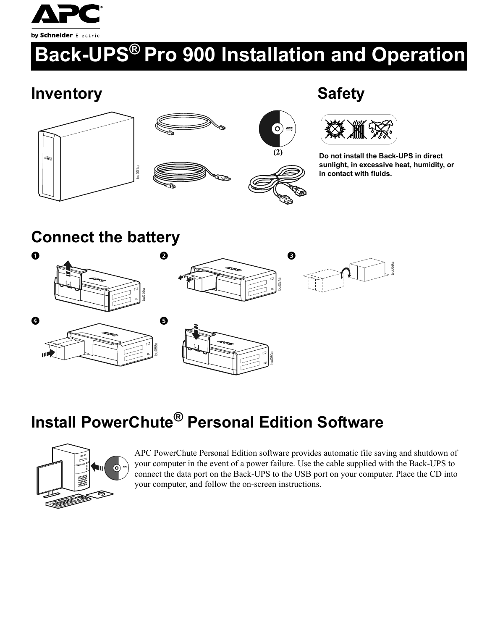

# **Back-UPS® Pro 900 Installation and Operation**

**(2)**

 $\circ$ 

### **Inventory** Safety







**Do not install the Back-UPS in direct sunlight, in excessive heat, humidity, or in contact with fluids.**

### **Connect the battery**



## **Install PowerChute® Personal Edition Software**



APC PowerChute Personal Edition software provides automatic file saving and shutdown of your computer in the event of a power failure. Use the cable supplied with the Back-UPS to connect the data port on the Back-UPS to the USB port on your computer. Place the CD into your computer, and follow the on-screen instructions.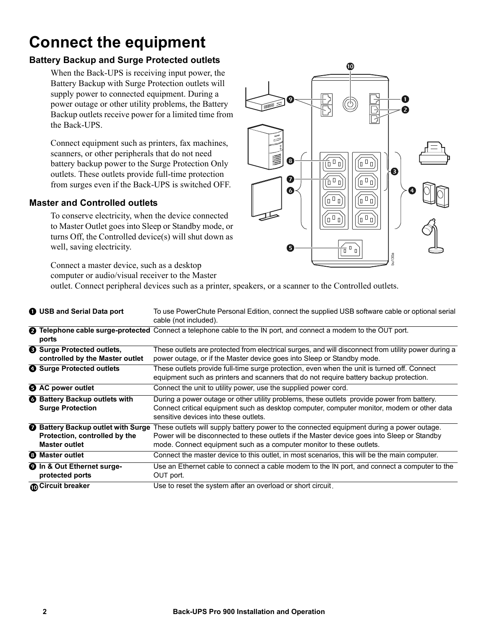### **Connect the equipment**

### **Battery Backup and Surge Protected outlets**

When the Back-UPS is receiving input power, the Battery Backup with Surge Protection outlets will supply power to connected equipment. During a power outage or other utility problems, the Battery Backup outlets receive power for a limited time from the Back-UPS.

Connect equipment such as printers, fax machines, scanners, or other peripherals that do not need battery backup power to the Surge Protection Only outlets. These outlets provide full-time protection from surges even if the Back-UPS is switched OFF.

#### **Master and Controlled outlets**

To conserve electricity, when the device connected to Master Outlet goes into Sleep or Standby mode, or turns Off, the Controlled device(s) will shut down as well, saving electricity.

Connect a master device, such as a desktop

computer or audio/visual receiver to the Master

outlet. Connect peripheral devices such as a printer, speakers, or a scanner to the Controlled outlets.

| <b>O</b> USB and Serial Data port                                                                  | To use PowerChute Personal Edition, connect the supplied USB software cable or optional serial<br>cable (not included).                                                                                                                                          |
|----------------------------------------------------------------------------------------------------|------------------------------------------------------------------------------------------------------------------------------------------------------------------------------------------------------------------------------------------------------------------|
| ports                                                                                              | <b>2</b> Telephone cable surge-protected Connect a telephone cable to the IN port, and connect a modem to the OUT port.                                                                                                                                          |
| <b>8</b> Surge Protected outlets,<br>controlled by the Master outlet                               | These outlets are protected from electrical surges, and will disconnect from utility power during a<br>power outage, or if the Master device goes into Sleep or Standby mode.                                                                                    |
| <b>4</b> Surge Protected outlets                                                                   | These outlets provide full-time surge protection, even when the unit is turned off. Connect<br>equipment such as printers and scanners that do not require battery backup protection.                                                                            |
| <b>6</b> AC power outlet                                                                           | Connect the unit to utility power, use the supplied power cord.                                                                                                                                                                                                  |
| <b>6</b> Battery Backup outlets with<br><b>Surge Protection</b>                                    | During a power outage or other utility problems, these outlets provide power from battery.<br>Connect critical equipment such as desktop computer, computer monitor, modem or other data<br>sensitive devices into these outlets.                                |
| <b>O</b> Battery Backup outlet with Surge<br>Protection, controlled by the<br><b>Master outlet</b> | These outlets will supply battery power to the connected equipment during a power outage.<br>Power will be disconnected to these outlets if the Master device goes into Sleep or Standby<br>mode. Connect equipment such as a computer monitor to these outlets. |
| <b>8</b> Master outlet                                                                             | Connect the master device to this outlet, in most scenarios, this will be the main computer.                                                                                                                                                                     |
| <b>O</b> In & Out Ethernet surge-<br>protected ports                                               | Use an Ethernet cable to connect a cable modem to the IN port, and connect a computer to the<br>OUT port.                                                                                                                                                        |
| <b>Circuit breaker</b>                                                                             | Use to reset the system after an overload or short circuit.                                                                                                                                                                                                      |

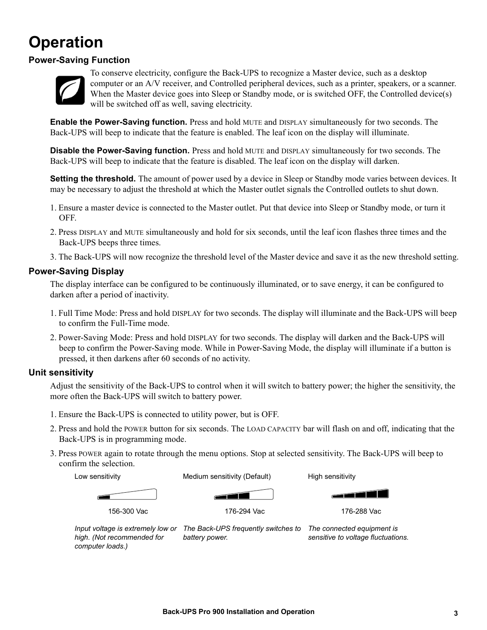### **Operation**

### **Power-Saving Function**



To conserve electricity, configure the Back-UPS to recognize a Master device, such as a desktop computer or an A/V receiver, and Controlled peripheral devices, such as a printer, speakers, or a scanner. When the Master device goes into Sleep or Standby mode, or is switched OFF, the Controlled device(s) will be switched off as well, saving electricity.

**Enable the Power-Saving function.** Press and hold MUTE and DISPLAY simultaneously for two seconds. The Back-UPS will beep to indicate that the feature is enabled. The leaf icon on the display will illuminate.

**Disable the Power-Saving function.** Press and hold MUTE and DISPLAY simultaneously for two seconds. The Back-UPS will beep to indicate that the feature is disabled. The leaf icon on the display will darken.

**Setting the threshold.** The amount of power used by a device in Sleep or Standby mode varies between devices. It may be necessary to adjust the threshold at which the Master outlet signals the Controlled outlets to shut down.

- 1. Ensure a master device is connected to the Master outlet. Put that device into Sleep or Standby mode, or turn it OFF.
- 2. Press DISPLAY and MUTE simultaneously and hold for six seconds, until the leaf icon flashes three times and the Back-UPS beeps three times.
- 3. The Back-UPS will now recognize the threshold level of the Master device and save it as the new threshold setting.

#### **Power-Saving Display**

The display interface can be configured to be continuously illuminated, or to save energy, it can be configured to darken after a period of inactivity.

- 1. Full Time Mode: Press and hold DISPLAY for two seconds. The display will illuminate and the Back-UPS will beep to confirm the Full-Time mode.
- 2. Power-Saving Mode: Press and hold DISPLAY for two seconds. The display will darken and the Back-UPS will beep to confirm the Power-Saving mode. While in Power-Saving Mode, the display will illuminate if a button is pressed, it then darkens after 60 seconds of no activity.

#### **Unit sensitivity**

Adjust the sensitivity of the Back-UPS to control when it will switch to battery power; the higher the sensitivity, the more often the Back-UPS will switch to battery power.

- 1. Ensure the Back-UPS is connected to utility power, but is OFF.
- 2. Press and hold the POWER button for six seconds. The LOAD CAPACITY bar will flash on and off, indicating that the Back-UPS is in programming mode.
- 3. Press POWER again to rotate through the menu options. Stop at selected sensitivity. The Back-UPS will beep to confirm the selection.

Low sensitivity **Medium sensitivity (Default)** High sensitivity High sensitivity



156-300 Vac 176-294 Vac 176-288 Vac

 $\overline{\phantom{a}}$ 

*Input voltage is extremely low or The Back-UPS frequently switches to The connected equipment is high. (Not recommended for computer loads.) battery power.*

*sensitive to voltage fluctuations.*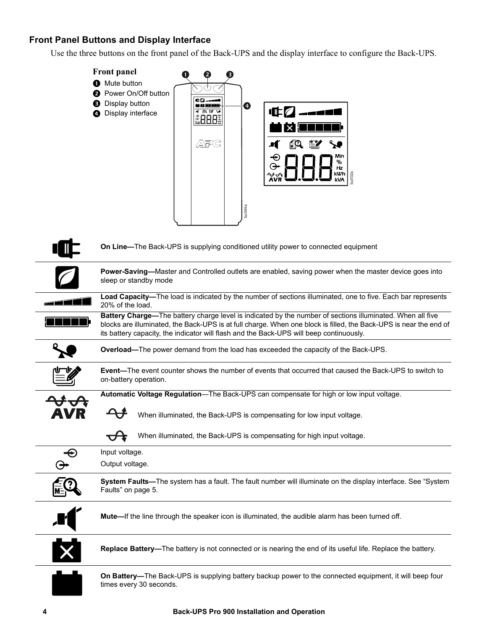### **Front Panel Buttons and Display Interface**

Use the three buttons on the front panel of the Back-UPS and the display interface to configure the Back-UPS.



| On Line-The Back-UPS is supplying conditioned utility power to connected equipment                                                                                                                                                                                                                                        |  |  |  |  |  |  |  |
|---------------------------------------------------------------------------------------------------------------------------------------------------------------------------------------------------------------------------------------------------------------------------------------------------------------------------|--|--|--|--|--|--|--|
| Power-Saving-Master and Controlled outlets are enabled, saving power when the master device goes into<br>sleep or standby mode                                                                                                                                                                                            |  |  |  |  |  |  |  |
| Load Capacity-The load is indicated by the number of sections illuminated, one to five. Each bar represents<br>20% of the load.                                                                                                                                                                                           |  |  |  |  |  |  |  |
| Battery Charge-The battery charge level is indicated by the number of sections illuminated. When all five<br>blocks are illuminated, the Back-UPS is at full charge. When one block is filled, the Back-UPS is near the end of<br>its battery capacity, the indicator will flash and the Back-UPS will beep continuously. |  |  |  |  |  |  |  |
| Overload—The power demand from the load has exceeded the capacity of the Back-UPS.                                                                                                                                                                                                                                        |  |  |  |  |  |  |  |
| Event—The event counter shows the number of events that occurred that caused the Back-UPS to switch to<br>on-battery operation.                                                                                                                                                                                           |  |  |  |  |  |  |  |
| Automatic Voltage Regulation-The Back-UPS can compensate for high or low input voltage.                                                                                                                                                                                                                                   |  |  |  |  |  |  |  |
| When illuminated, the Back-UPS is compensating for low input voltage.                                                                                                                                                                                                                                                     |  |  |  |  |  |  |  |
| When illuminated, the Back-UPS is compensating for high input voltage.                                                                                                                                                                                                                                                    |  |  |  |  |  |  |  |
| Input voltage.                                                                                                                                                                                                                                                                                                            |  |  |  |  |  |  |  |
| Output voltage.                                                                                                                                                                                                                                                                                                           |  |  |  |  |  |  |  |
| System Faults—The system has a fault. The fault number will illuminate on the display interface. See "System"<br>Faults" on page 5.                                                                                                                                                                                       |  |  |  |  |  |  |  |
| <b>Mute—If the line through the speaker icon is illuminated, the audible alarm has been turned off.</b>                                                                                                                                                                                                                   |  |  |  |  |  |  |  |
| Replace Battery-The battery is not connected or is nearing the end of its useful life. Replace the battery.                                                                                                                                                                                                               |  |  |  |  |  |  |  |
| On Battery-The Back-UPS is supplying battery backup power to the connected equipment, it will beep four<br>times every 30 seconds.                                                                                                                                                                                        |  |  |  |  |  |  |  |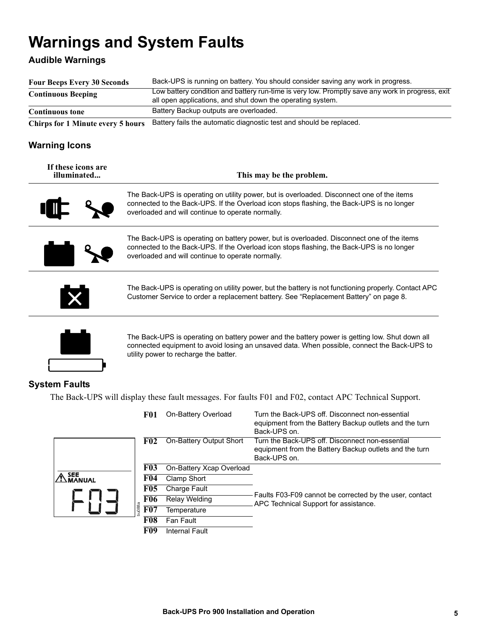### **Warnings and System Faults**

### **Audible Warnings**

| <b>Four Beeps Every 30 Seconds</b>       | Back-UPS is running on battery. You should consider saving any work in progress.                 |  |  |
|------------------------------------------|--------------------------------------------------------------------------------------------------|--|--|
| <b>Continuous Beeping</b>                | Low battery condition and battery run-time is very low. Promptly save any work in progress, exit |  |  |
|                                          | all open applications, and shut down the operating system.                                       |  |  |
| <b>Continuous tone</b>                   | Battery Backup outputs are overloaded.                                                           |  |  |
| <b>Chirps for 1 Minute every 5 hours</b> | Battery fails the automatic diagnostic test and should be replaced.                              |  |  |

### **Warning Icons**

| If these icons are<br>illuminated | This may be the problem.                                                                                                                                                                                                                     |  |  |  |  |
|-----------------------------------|----------------------------------------------------------------------------------------------------------------------------------------------------------------------------------------------------------------------------------------------|--|--|--|--|
|                                   | The Back-UPS is operating on utility power, but is overloaded. Disconnect one of the items<br>connected to the Back-UPS. If the Overload icon stops flashing, the Back-UPS is no longer<br>overloaded and will continue to operate normally. |  |  |  |  |
|                                   | The Back-UPS is operating on battery power, but is overloaded. Disconnect one of the items<br>connected to the Back-UPS. If the Overload icon stops flashing, the Back-UPS is no longer<br>overloaded and will continue to operate normally. |  |  |  |  |
| X.                                | The Back-UPS is operating on utility power, but the battery is not functioning properly. Contact APC<br>Customer Service to order a replacement battery. See "Replacement Battery" on page 8.                                                |  |  |  |  |
|                                   | The Back-UPS is operating on battery power and the battery power is getting low. Shut down all<br>connected equipment to avoid losing an unsaved data. When possible, connect the Back-UPS to                                                |  |  |  |  |

utility power to recharge the batter.

#### **System Faults**

The Back-UPS will display these fault messages. For faults F01 and F02, contact APC Technical Support.

|                                                   |       | <b>F01</b>  | On-Battery Overload      | Turn the Back-UPS off. Disconnect non-essential<br>equipment from the Battery Backup outlets and the turn<br>Back-UPS on. |
|---------------------------------------------------|-------|-------------|--------------------------|---------------------------------------------------------------------------------------------------------------------------|
|                                                   |       | F02         | On-Battery Output Short  | Turn the Back-UPS off. Disconnect non-essential<br>equipment from the Battery Backup outlets and the turn<br>Back-UPS on. |
|                                                   |       | <b>F03</b>  | On-Battery Xcap Overload |                                                                                                                           |
| $\bigtriangleup_{\mathsf{MANUAL}}^{\mathsf{SEE}}$ |       | F04         | Clamp Short              |                                                                                                                           |
|                                                   |       | <b>F05</b>  | <b>Charge Fault</b>      |                                                                                                                           |
|                                                   |       | <b>F06</b>  | Relay Welding            | Faults F03-F09 cannot be corrected by the user, contact<br>APC Technical Support for assistance.                          |
|                                                   | u088a | ${\bf F07}$ | Temperature              |                                                                                                                           |
|                                                   |       | F08         | Fan Fault                |                                                                                                                           |
|                                                   |       | F09         | <b>Internal Fault</b>    |                                                                                                                           |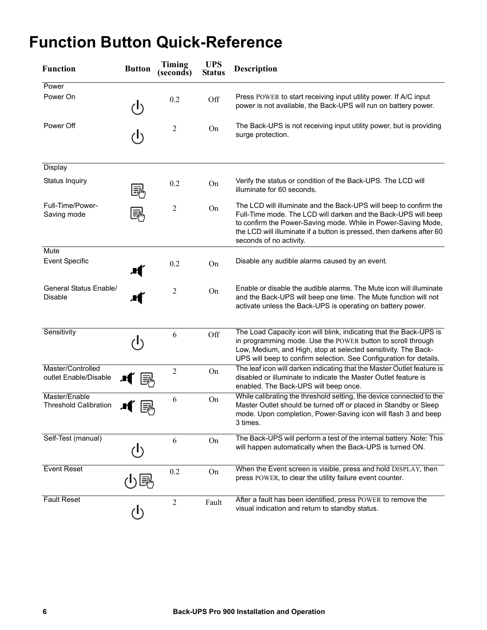### **Function Button Quick-Reference**

| <b>Function</b>                               | <b>Button</b> | <b>Timing</b><br>(seconds) | <b>UPS</b><br><b>Status</b> | <b>Description</b>                                                                                                                                                                                                                                                                                       |
|-----------------------------------------------|---------------|----------------------------|-----------------------------|----------------------------------------------------------------------------------------------------------------------------------------------------------------------------------------------------------------------------------------------------------------------------------------------------------|
| Power<br>Power On                             | む             | 0.2                        | Off                         | Press POWER to start receiving input utility power. If A/C input<br>power is not available, the Back-UPS will run on battery power.                                                                                                                                                                      |
| Power Off                                     | し             | $\overline{2}$             | On                          | The Back-UPS is not receiving input utility power, but is providing<br>surge protection.                                                                                                                                                                                                                 |
| <b>Display</b>                                |               |                            |                             |                                                                                                                                                                                                                                                                                                          |
| Status Inquiry                                |               | 0.2                        | On                          | Verify the status or condition of the Back-UPS. The LCD will<br>illuminate for 60 seconds.                                                                                                                                                                                                               |
| Full-Time/Power-<br>Saving mode               | ≕             | $\mathfrak{2}$             | On                          | The LCD will illuminate and the Back-UPS will beep to confirm the<br>Full-Time mode. The LCD will darken and the Back-UPS will beep<br>to confirm the Power-Saving mode. While in Power-Saving Mode,<br>the LCD will illuminate if a button is pressed, then darkens after 60<br>seconds of no activity. |
| <b>Mute</b>                                   |               |                            |                             |                                                                                                                                                                                                                                                                                                          |
| <b>Event Specific</b>                         |               | 0.2                        | On                          | Disable any audible alarms caused by an event.                                                                                                                                                                                                                                                           |
| General Status Enable/<br><b>Disable</b>      |               | $\overline{2}$             | On                          | Enable or disable the audible alarms. The Mute icon will illuminate<br>and the Back-UPS will beep one time. The Mute function will not<br>activate unless the Back-UPS is operating on battery power.                                                                                                    |
| Sensitivity                                   | (l)           | 6                          | Off                         | The Load Capacity icon will blink, indicating that the Back-UPS is<br>in programming mode. Use the POWER button to scroll through<br>Low, Medium, and High, stop at selected sensitivity. The Back-<br>UPS will beep to confirm selection. See Configuration for details.                                |
| Master/Controlled<br>outlet Enable/Disable    |               | $\overline{2}$             | On                          | The leaf icon will darken indicating that the Master Outlet feature is<br>disabled or illuminate to indicate the Master Outlet feature is<br>enabled. The Back-UPS will beep once.                                                                                                                       |
| Master/Enable<br><b>Threshold Calibration</b> |               | 6                          | On                          | While calibrating the threshold setting, the device connected to the<br>Master Outlet should be turned off or placed in Standby or Sleep<br>mode. Upon completion, Power-Saving icon will flash 3 and beep<br>3 times.                                                                                   |
| Self-Test (manual)                            | $\bigcirc$    | 6                          | On                          | The Back-UPS will perform a test of the internal battery. Note: This<br>will happen automatically when the Back-UPS is turned ON.                                                                                                                                                                        |
| <b>Event Reset</b>                            |               | 0.2                        | On                          | When the Event screen is visible, press and hold DISPLAY, then<br>press POWER, to clear the utility failure event counter.                                                                                                                                                                               |
| <b>Fault Reset</b>                            | $\mathcal{L}$ | $\overline{2}$             | Fault                       | After a fault has been identified, press POWER to remove the<br>visual indication and return to standby status.                                                                                                                                                                                          |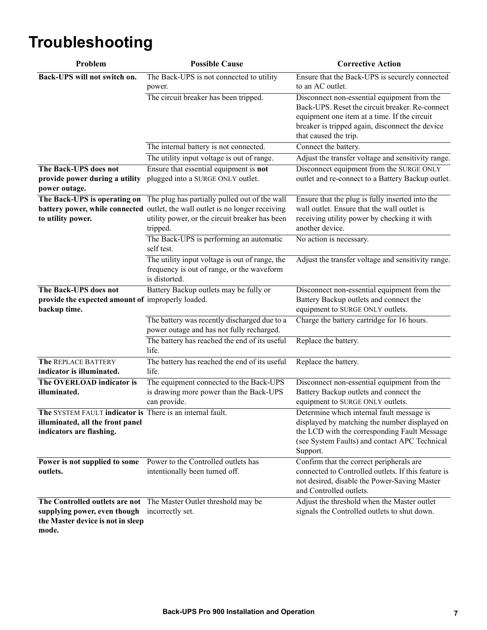### **Troubleshooting**

| Problem                                                                                                                   | <b>Possible Cause</b>                                                                                                                                                                                                     | <b>Corrective Action</b>                                                                                                                                                                                                   |
|---------------------------------------------------------------------------------------------------------------------------|---------------------------------------------------------------------------------------------------------------------------------------------------------------------------------------------------------------------------|----------------------------------------------------------------------------------------------------------------------------------------------------------------------------------------------------------------------------|
| Back-UPS will not switch on.                                                                                              | The Back-UPS is not connected to utility<br>power.                                                                                                                                                                        | Ensure that the Back-UPS is securely connected<br>to an AC outlet.                                                                                                                                                         |
|                                                                                                                           | The circuit breaker has been tripped.                                                                                                                                                                                     | Disconnect non-essential equipment from the<br>Back-UPS. Reset the circuit breaker. Re-connect<br>equipment one item at a time. If the circuit<br>breaker is tripped again, disconnect the device<br>that caused the trip. |
|                                                                                                                           | The internal battery is not connected.                                                                                                                                                                                    | Connect the battery.                                                                                                                                                                                                       |
|                                                                                                                           | The utility input voltage is out of range.                                                                                                                                                                                | Adjust the transfer voltage and sensitivity range.                                                                                                                                                                         |
| The Back-UPS does not<br>provide power during a utility<br>power outage.                                                  | Ensure that essential equipment is not<br>plugged into a SURGE ONLY outlet.                                                                                                                                               | Disconnect equipment from the SURGE ONLY<br>outlet and re-connect to a Battery Backup outlet.                                                                                                                              |
| to utility power.                                                                                                         | The Back-UPS is operating on The plug has partially pulled out of the wall<br>battery power, while connected outlet, the wall outlet is no longer receiving<br>utility power, or the circuit breaker has been<br>tripped. | Ensure that the plug is fully inserted into the<br>wall outlet. Ensure that the wall outlet is<br>receiving utility power by checking it with<br>another device.                                                           |
|                                                                                                                           | The Back-UPS is performing an automatic<br>self test.                                                                                                                                                                     | No action is necessary.                                                                                                                                                                                                    |
|                                                                                                                           | The utility input voltage is out of range, the<br>frequency is out of range, or the waveform<br>is distorted.                                                                                                             | Adjust the transfer voltage and sensitivity range.                                                                                                                                                                         |
| The Back-UPS does not<br>provide the expected amount of improperly loaded.<br>backup time.                                | Battery Backup outlets may be fully or                                                                                                                                                                                    | Disconnect non-essential equipment from the<br>Battery Backup outlets and connect the<br>equipment to SURGE ONLY outlets.                                                                                                  |
|                                                                                                                           | The battery was recently discharged due to a<br>power outage and has not fully recharged.                                                                                                                                 | Charge the battery cartridge for 16 hours.                                                                                                                                                                                 |
|                                                                                                                           | The battery has reached the end of its useful<br>life.                                                                                                                                                                    | Replace the battery.                                                                                                                                                                                                       |
| The REPLACE BATTERY<br>indicator is illuminated.                                                                          | The battery has reached the end of its useful<br>life.                                                                                                                                                                    | Replace the battery.                                                                                                                                                                                                       |
| The OVERLOAD indicator is<br>illuminated.                                                                                 | The equipment connected to the Back-UPS<br>is drawing more power than the Back-UPS<br>can provide.                                                                                                                        | Disconnect non-essential equipment from the<br>Battery Backup outlets and connect the<br>equipment to SURGE ONLY outlets.                                                                                                  |
| The SYSTEM FAULT indicator is There is an internal fault.<br>illuminated, all the front panel<br>indicators are flashing. |                                                                                                                                                                                                                           | Determine which internal fault message is<br>displayed by matching the number displayed on<br>the LCD with the corresponding Fault Message<br>(see System Faults) and contact APC Technical<br>Support.                    |
| Power is not supplied to some<br>outlets.                                                                                 | Power to the Controlled outlets has<br>intentionally been turned off.                                                                                                                                                     | Confirm that the correct peripherals are<br>connected to Controlled outlets. If this feature is<br>not desired, disable the Power-Saving Master<br>and Controlled outlets.                                                 |
| supplying power, even though<br>the Master device is not in sleep<br>mode.                                                | The Controlled outlets are not The Master Outlet threshold may be<br>incorrectly set.                                                                                                                                     | Adjust the threshold when the Master outlet<br>signals the Controlled outlets to shut down.                                                                                                                                |